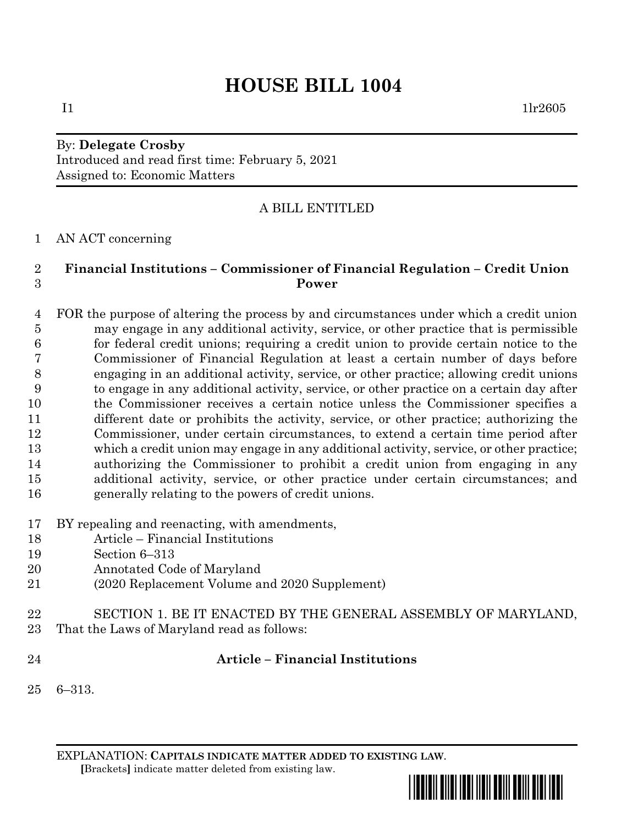# **HOUSE BILL 1004**

## By: **Delegate Crosby** Introduced and read first time: February 5, 2021 Assigned to: Economic Matters

# A BILL ENTITLED

## AN ACT concerning

## **Financial Institutions – Commissioner of Financial Regulation – Credit Union Power**

 FOR the purpose of altering the process by and circumstances under which a credit union may engage in any additional activity, service, or other practice that is permissible for federal credit unions; requiring a credit union to provide certain notice to the Commissioner of Financial Regulation at least a certain number of days before engaging in an additional activity, service, or other practice; allowing credit unions to engage in any additional activity, service, or other practice on a certain day after the Commissioner receives a certain notice unless the Commissioner specifies a different date or prohibits the activity, service, or other practice; authorizing the Commissioner, under certain circumstances, to extend a certain time period after which a credit union may engage in any additional activity, service, or other practice; authorizing the Commissioner to prohibit a credit union from engaging in any additional activity, service, or other practice under certain circumstances; and generally relating to the powers of credit unions.

- BY repealing and reenacting, with amendments,
- Article Financial Institutions
- Section 6–313
- Annotated Code of Maryland
- (2020 Replacement Volume and 2020 Supplement)
- SECTION 1. BE IT ENACTED BY THE GENERAL ASSEMBLY OF MARYLAND,
- That the Laws of Maryland read as follows:
- 

#### **Article – Financial Institutions**

6–313.

EXPLANATION: **CAPITALS INDICATE MATTER ADDED TO EXISTING LAW**.  **[**Brackets**]** indicate matter deleted from existing law.



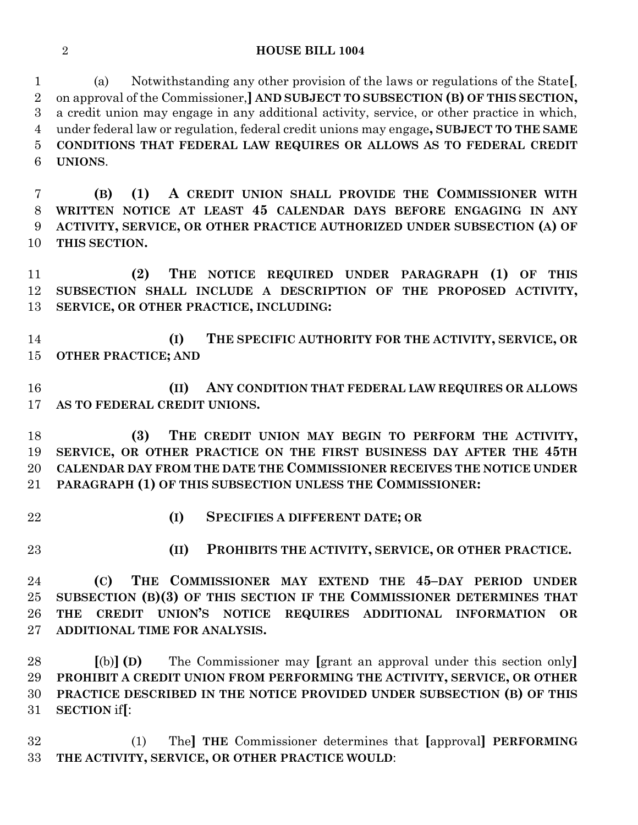#### **HOUSE BILL 1004**

 (a) Notwithstanding any other provision of the laws or regulations of the State**[**, on approval of the Commissioner,**] AND SUBJECT TO SUBSECTION (B) OF THIS SECTION,** a credit union may engage in any additional activity, service, or other practice in which, under federal law or regulation, federal credit unions may engage**, SUBJECT TO THE SAME CONDITIONS THAT FEDERAL LAW REQUIRES OR ALLOWS AS TO FEDERAL CREDIT UNIONS**.

 **(B) (1) A CREDIT UNION SHALL PROVIDE THE COMMISSIONER WITH WRITTEN NOTICE AT LEAST 45 CALENDAR DAYS BEFORE ENGAGING IN ANY ACTIVITY, SERVICE, OR OTHER PRACTICE AUTHORIZED UNDER SUBSECTION (A) OF THIS SECTION.**

 **(2) THE NOTICE REQUIRED UNDER PARAGRAPH (1) OF THIS SUBSECTION SHALL INCLUDE A DESCRIPTION OF THE PROPOSED ACTIVITY, SERVICE, OR OTHER PRACTICE, INCLUDING:**

 **(I) THE SPECIFIC AUTHORITY FOR THE ACTIVITY, SERVICE, OR OTHER PRACTICE; AND**

 **(II) ANY CONDITION THAT FEDERAL LAW REQUIRES OR ALLOWS AS TO FEDERAL CREDIT UNIONS.**

 **(3) THE CREDIT UNION MAY BEGIN TO PERFORM THE ACTIVITY, SERVICE, OR OTHER PRACTICE ON THE FIRST BUSINESS DAY AFTER THE 45TH CALENDAR DAY FROM THE DATE THE COMMISSIONER RECEIVES THE NOTICE UNDER PARAGRAPH (1) OF THIS SUBSECTION UNLESS THE COMMISSIONER:**

- 
- **(I) SPECIFIES A DIFFERENT DATE; OR**
- 

**(II) PROHIBITS THE ACTIVITY, SERVICE, OR OTHER PRACTICE.**

 **(C) THE COMMISSIONER MAY EXTEND THE 45–DAY PERIOD UNDER SUBSECTION (B)(3) OF THIS SECTION IF THE COMMISSIONER DETERMINES THAT THE CREDIT UNION'S NOTICE REQUIRES ADDITIONAL INFORMATION OR ADDITIONAL TIME FOR ANALYSIS.**

 **[**(b)**] (D)** The Commissioner may **[**grant an approval under this section only**] PROHIBIT A CREDIT UNION FROM PERFORMING THE ACTIVITY, SERVICE, OR OTHER PRACTICE DESCRIBED IN THE NOTICE PROVIDED UNDER SUBSECTION (B) OF THIS SECTION** if**[**:

 (1) The**] THE** Commissioner determines that **[**approval**] PERFORMING THE ACTIVITY, SERVICE, OR OTHER PRACTICE WOULD**: